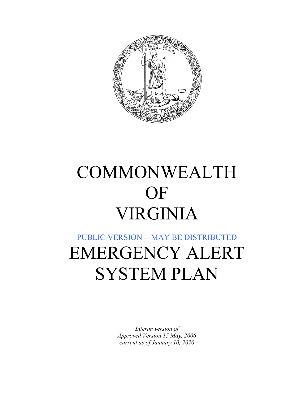

# COMMONWEALTH OF VIRGINIA

## PUBLIC VERSION - MAY BE DISTRIBUTED EMERGENCY ALERT SYSTEM PLAN

*Interim version of Approved Version 15 May, 2006 current as of January 10, 2020*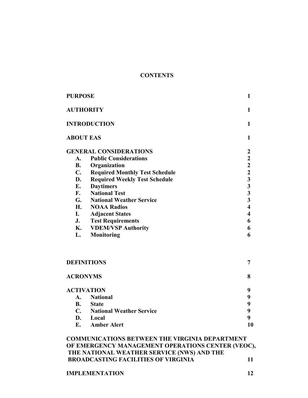#### **CONTENTS**

| <b>PURPOSE</b>      | $\mathbf{1}$                          |                         |
|---------------------|---------------------------------------|-------------------------|
| <b>AUTHORITY</b>    |                                       |                         |
| <b>INTRODUCTION</b> | $\mathbf{1}$                          |                         |
| <b>ABOUT EAS</b>    |                                       | 1                       |
|                     | <b>GENERAL CONSIDERATIONS</b>         | 2                       |
| A.                  | <b>Public Considerations</b>          |                         |
| <b>B.</b>           | Organization                          | $2223$<br>$33$<br>$33$  |
| $\mathbf{C}$ .      | <b>Required Monthly Test Schedule</b> |                         |
| D.                  | <b>Required Weekly Test Schedule</b>  |                         |
| E.                  | <b>Daytimers</b>                      |                         |
| F.                  | <b>National Test</b>                  |                         |
| G.                  | <b>National Weather Service</b>       |                         |
| <b>H.</b>           | <b>NOAA Radios</b>                    | $\overline{\mathbf{4}}$ |
| I.                  | <b>Adjacent States</b>                | $\overline{\mathbf{4}}$ |
| J.                  | <b>Test Requirements</b>              | 6                       |
| К.                  | <b>VDEM/VSP Authority</b>             | 6                       |
| L.                  | <b>Monitoring</b>                     | 6                       |
|                     | <b>DEFINITIONS</b>                    | 7                       |
| <b>ACRONYMS</b>     |                                       | 8                       |
|                     | <b>ACTIVATION</b>                     | 9                       |
| A.                  | 9                                     |                         |
| <b>B.</b>           | <b>State</b>                          | 9                       |

| C. National Weather Service |    |
|-----------------------------|----|
| D. Local                    |    |
| E. Amber Alert              | 10 |

#### **COMMUNICATIONS BETWEEN THE VIRGINIA DEPARTMENT OF EMERGENCY MANAGEMENT OPERATIONS CENTER (VEOC), THE NATIONAL WEATHER SERVICE (NWS) AND THE BROADCASTING FACILITIES OF VIRGINIA 11**

#### **IMPLEMENTATION** 12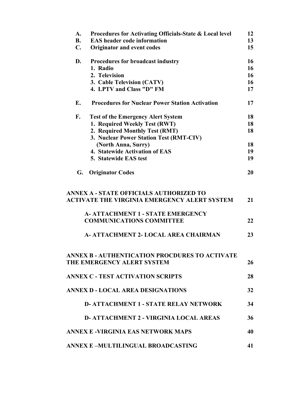| A.             | Procedures for Activating Officials-State & Local level | 12 |
|----------------|---------------------------------------------------------|----|
| <b>B.</b>      | <b>EAS</b> header code information                      | 13 |
| $\mathbf{C}$ . | <b>Originator and event codes</b>                       | 15 |
| D.             | Procedures for broadcast industry                       | 16 |
|                | 1. Radio                                                | 16 |
|                | 2. Television                                           | 16 |
|                | 3. Cable Television (CATV)                              | 16 |
|                | 4. LPTV and Class "D" FM                                | 17 |
| E.             | <b>Procedures for Nuclear Power Station Activation</b>  | 17 |
| F.             | <b>Test of the Emergency Alert System</b>               | 18 |
|                | 1. Required Weekly Test (RWT)                           | 18 |
|                | 2. Required Monthly Test (RMT)                          | 18 |
|                | 3. Nuclear Power Station Test (RMT-CIV)                 |    |
|                | (North Anna, Surry)                                     | 18 |
|                | 4. Statewide Activation of EAS                          | 19 |
|                | 5. Statewide EAS test                                   | 19 |
| G.             | <b>Originator Codes</b>                                 | 20 |
|                | ANNEX A - STATE OFFICIALS AUTHORIZED TO                 |    |
|                | <b>ACTIVATE THE VIRGINIA EMERGENCY ALERT SYSTEM</b>     | 21 |
|                | <b>A- ATTACHMENT 1 - STATE EMERGENCY</b>                |    |
|                | <b>COMMUNICATIONS COMMITTEE</b>                         | 22 |
|                | A- ATTACHMENT 2- LOCAL AREA CHAIRMAN                    | 23 |
|                | ANNEX B - AUTHENTICATION PROCDURES TO ACTIVATE          |    |
|                | THE EMERGENCY ALERT SYSTEM                              | 26 |
|                | <b>ANNEX C - TEST ACTIVATION SCRIPTS</b>                | 28 |
|                | <b>ANNEX D - LOCAL AREA DESIGNATIONS</b>                | 32 |
|                | <b>D- ATTACHMENT 1 - STATE RELAY NETWORK</b>            | 34 |
|                | <b>D-ATTACHMENT 2 - VIRGINIA LOCAL AREAS</b>            | 36 |
|                | ANNEX E -VIRGINIA EAS NETWORK MAPS                      | 40 |
|                | ANNEX E-MULTILINGUAL BROADCASTING                       | 41 |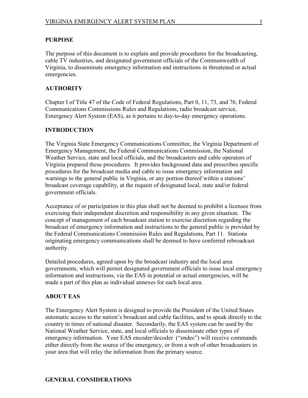#### **PURPOSE**

The purpose of this document is to explain and provide procedures for the broadcasting, cable TV industries, and designated government officials of the Commonwealth of Virginia, to disseminate emergency information and instructions in threatened or actual emergencies.

#### **AUTHORITY**

Chapter I of Title 47 of the Code of Federal Regulations, Part 0, 11, 73, and 76, Federal Communications Commissions Rules and Regulations, radio broadcast service, Emergency Alert System (EAS), as it pertains to day-to-day emergency operations.

## **INTRODUCTION**

The Virginia State Emergency Communications Committee, the Virginia Department of Emergency Management, the Federal Communications Commission, the National Weather Service, state and local officials, and the broadcasters and cable operators of Virginia prepared these procedures. It provides background data and prescribes specific procedures for the broadcast media and cable to issue emergency information and warnings to the general public in Virginia, or any portion thereof within a stations' broadcast coverage capability, at the request of designated local, state and/or federal government officials.

Acceptance of or participation in this plan shall not be deemed to prohibit a licensee from exercising their independent discretion and responsibility in any given situation. The concept of management of each broadcast station to exercise discretion regarding the broadcast of emergency information and instructions to the general public is provided by the Federal Communications Commission Rules and Regulations, Part 11. Stations originating emergency communications shall be deemed to have conferred rebroadcast authority.

Detailed procedures, agreed upon by the broadcast industry and the local area governments, which will permit designated government officials to issue local emergency information and instructions, via the EAS in potential or actual emergencies, will be made a part of this plan as individual annexes for each local area.

#### **ABOUT EAS**

The Emergency Alert System is designed to provide the President of the United States automatic access to the nation's broadcast and cable facilities, and to speak directly to the country in times of national disaster. Secondarily, the EAS system can be used by the National Weather Service, state, and local officials to disseminate other types of emergency information. Your EAS encoder/decoder ("endec") will receive commands either directly from the source of the emergency, or from a web of other broadcasters in your area that will relay the information from the primary source.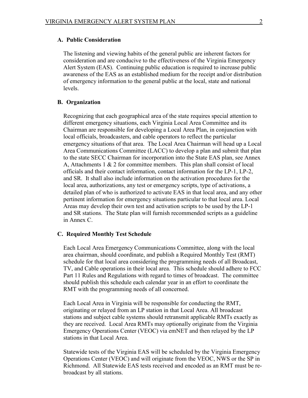### **A. Public Consideration**

The listening and viewing habits of the general public are inherent factors for consideration and are conducive to the effectiveness of the Virginia Emergency Alert System (EAS). Continuing public education is required to increase public awareness of the EAS as an established medium for the receipt and/or distribution of emergency information to the general public at the local, state and national levels.

#### **B. Organization**

Recognizing that each geographical area of the state requires special attention to different emergency situations, each Virginia Local Area Committee and its Chairman are responsible for developing a Local Area Plan, in conjunction with local officials, broadcasters, and cable operators to reflect the particular emergency situations of that area. The Local Area Chairman will head up a Local Area Communications Committee (LACC) to develop a plan and submit that plan to the state SECC Chairman for incorporation into the State EAS plan, see Annex A, Attachments  $1 \& 2$  for committee members. This plan shall consist of local officials and their contact information, contact information for the LP-1, LP-2, and SR. It shall also include information on the activation procedures for the local area, authorizations, any test or emergency scripts, type of activations, a detailed plan of who is authorized to activate EAS in that local area, and any other pertinent information for emergency situations particular to that local area. Local Areas may develop their own test and activation scripts to be used by the LP-1 and SR stations. The State plan will furnish recommended scripts as a guideline in Annex C.

#### **C. Required Monthly Test Schedule**

Each Local Area Emergency Communications Committee, along with the local area chairman, should coordinate, and publish a Required Monthly Test (RMT) schedule for that local area considering the programming needs of all Broadcast, TV, and Cable operations in their local area. This schedule should adhere to FCC Part 11 Rules and Regulations with regard to times of broadcast. The committee should publish this schedule each calendar year in an effort to coordinate the RMT with the programming needs of all concerned.

Each Local Area in Virginia will be responsible for conducting the RMT, originating or relayed from an LP station in that Local Area. All broadcast stations and subject cable systems should retransmit applicable RMTs exactly as they are received. Local Area RMTs may optionally originate from the Virginia Emergency Operations Center (VEOC) via emNET and then relayed by the LP stations in that Local Area.

Statewide tests of the Virginia EAS will be scheduled by the Virginia Emergency Operations Center (VEOC) and will originate from the VEOC, NWS or the SP in Richmond. All Statewide EAS tests received and encoded as an RMT must be rebroadcast by all stations.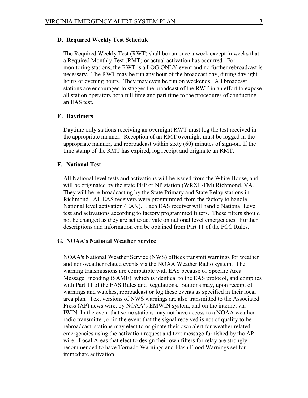#### **D. Required Weekly Test Schedule**

The Required Weekly Test (RWT) shall be run once a week except in weeks that a Required Monthly Test (RMT) or actual activation has occurred. For monitoring stations, the RWT is a LOG ONLY event and no further rebroadcast is necessary. The RWT may be run any hour of the broadcast day, during daylight hours or evening hours. They may even be run on weekends. All broadcast stations are encouraged to stagger the broadcast of the RWT in an effort to expose all station operators both full time and part time to the procedures of conducting an EAS test.

#### **E. Daytimers**

Daytime only stations receiving an overnight RWT must log the test received in the appropriate manner. Reception of an RMT overnight must be logged in the appropriate manner, and rebroadcast within sixty (60) minutes of sign-on. If the time stamp of the RMT has expired, log receipt and originate an RMT.

#### **F. National Test**

All National level tests and activations will be issued from the White House, and will be originated by the state PEP or NP station (WRXL-FM) Richmond, VA. They will be re-broadcasting by the State Primary and State Relay stations in Richmond. All EAS receivers were programmed from the factory to handle National level activation (EAN). Each EAS receiver will handle National Level test and activations according to factory programmed filters. These filters should not be changed as they are set to activate on national level emergencies. Further descriptions and information can be obtained from Part 11 of the FCC Rules.

#### **G. NOAA's National Weather Service**

NOAA's National Weather Service (NWS) offices transmit warnings for weather and non-weather related events via the NOAA Weather Radio system. The warning transmissions are compatible with EAS because of Specific Area Message Encoding (SAME), which is identical to the EAS protocol, and complies with Part 11 of the EAS Rules and Regulations. Stations may, upon receipt of warnings and watches, rebroadcast or log these events as specified in their local area plan. Text versions of NWS warnings are also transmitted to the Associated Press (AP) news wire, by NOAA's EMWIN system, and on the internet via IWIN. In the event that some stations may not have access to a NOAA weather radio transmitter, or in the event that the signal received is not of quality to be rebroadcast, stations may elect to originate their own alert for weather related emergencies using the activation request and text message furnished by the AP wire. Local Areas that elect to design their own filters for relay are strongly recommended to have Tornado Warnings and Flash Flood Warnings set for immediate activation.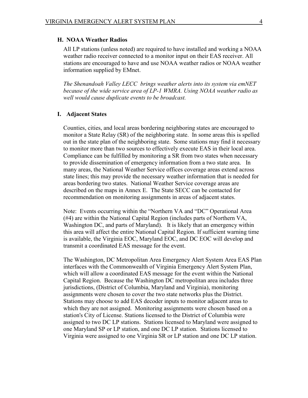#### **H. NOAA Weather Radios**

All LP stations (unless noted) are required to have installed and working a NOAA weather radio receiver connected to a monitor input on their EAS receiver. All stations are encouraged to have and use NOAA weather radios or NOAA weather information supplied by EMnet.

*The Shenandoah Valley LECC brings weather alerts into its system via emNET because of the wide service area of LP-1 WMRA. Using NOAA weather radio as well would cause duplicate events to be broadcast.*

#### **I. Adjacent States**

Counties, cities, and local areas bordering neighboring states are encouraged to monitor a State Relay (SR) of the neighboring state. In some areas this is spelled out in the state plan of the neighboring state. Some stations may find it necessary to monitor more than two sources to effectively execute EAS in their local area. Compliance can be fulfilled by monitoring a SR from two states when necessary to provide dissemination of emergency information from a two state area. In many areas, the National Weather Service offices coverage areas extend across state lines; this may provide the necessary weather information that is needed for areas bordering two states. National Weather Service coverage areas are described on the maps in Annex E. The State SECC can be contacted for recommendation on monitoring assignments in areas of adjacent states.

Note: Events occurring within the "Northern VA and "DC" Operational Area (#4) are within the National Capital Region (includes parts of Northern VA, Washington DC, and parts of Maryland). It is likely that an emergency within this area will affect the entire National Capital Region. If sufficient warning time is available, the Virginia EOC, Maryland EOC, and DC EOC will develop and transmit a coordinated EAS message for the event.

The Washington, DC Metropolitan Area Emergency Alert System Area EAS Plan interfaces with the Commonwealth of Virginia Emergency Alert System Plan, which will allow a coordinated EAS message for the event within the National Capital Region. Because the Washington DC metropolitan area includes three jurisdictions, (District of Columbia, Maryland and Virginia), monitoring assignments were chosen to cover the two state networks plus the District. Stations may choose to add EAS decoder inputs to monitor adjacent areas to which they are not assigned. Monitoring assignments were chosen based on a station's City of License. Stations licensed to the District of Columbia were assigned to two DC LP stations. Stations licensed to Maryland were assigned to one Maryland SP or LP station, and one DC LP station. Stations licensed to Virginia were assigned to one Virginia SR or LP station and one DC LP station.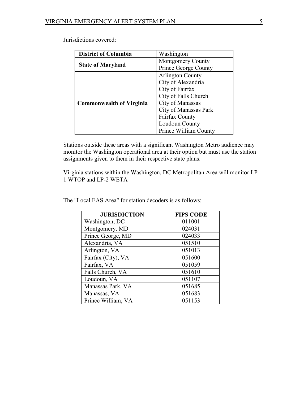Jurisdictions covered:

| <b>District of Columbia</b>     | Washington                  |  |
|---------------------------------|-----------------------------|--|
|                                 | <b>Montgomery County</b>    |  |
| <b>State of Maryland</b>        | <b>Prince George County</b> |  |
|                                 | <b>Arlington County</b>     |  |
|                                 | City of Alexandria          |  |
|                                 | City of Fairfax             |  |
|                                 | City of Falls Church        |  |
| <b>Commonwealth of Virginia</b> | City of Manassas            |  |
|                                 | City of Manassas Park       |  |
|                                 | Fairfax County              |  |
|                                 | Loudoun County              |  |
|                                 | Prince William County       |  |

Stations outside these areas with a significant Washington Metro audience may monitor the Washington operational area at their option but must use the station assignments given to them in their respective state plans.

Virginia stations within the Washington, DC Metropolitan Area will monitor LP-1 WTOP and LP-2 WETA

| <b>JURISDICTION</b> | <b>FIPS CODE</b> |
|---------------------|------------------|
| Washington, DC      | 011001           |
| Montgomery, MD      | 024031           |
| Prince George, MD   | 024033           |
| Alexandria, VA      | 051510           |
| Arlington, VA       | 051013           |
| Fairfax (City), VA  | 051600           |
| Fairfax, VA         | 051059           |
| Falls Church, VA    | 051610           |
| Loudoun, VA         | 051107           |
| Manassas Park, VA   | 051685           |
| Manassas, VA        | 051683           |
| Prince William, VA  | 051153           |

The "Local EAS Area" for station decoders is as follows: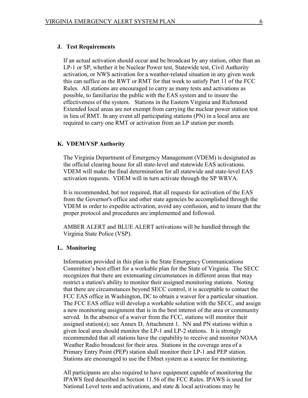#### **J. Test Requirements**

If an actual activation should occur and be broadcast by any station, other than an LP-1 or SP, whether it be Nuclear Power test, Statewide test, Civil Authority activation, or NWS activation for a weather-related situation in any given week this can suffice as the RWT or RMT for that week to satisfy Part 11 of the FCC Rules. All stations are encouraged to carry as many tests and activations as possible, to familiarize the public with the EAS system and to insure the effectiveness of the system. Stations in the Eastern Virginia and Richmond Extended local areas are not exempt from carrying the nuclear power station test in lieu of RMT. In any event all participating stations (PN) in a local area are required to carry one RMT or activation from an LP station per month.

#### **K. VDEM/VSP Authority**

The Virginia Department of Emergency Management (VDEM) is designated as the official clearing house for all state-level and statewide EAS activations. VDEM will make the final determination for all statewide and state-level EAS activation requests. VDEM will in turn activate through the SP WRVA.

It is recommended, but not required, that all request*s* for activation of the EAS from the Governor's office and other state agencies be accomplished through the VDEM in order to expedite activation, avoid any confusion, and to insure that the proper protocol and procedures are implemented and followed.

AMBER ALERT and BLUE ALERT activations will be handled through the Virginia State Police (VSP).

#### **L. Monitoring**

Information provided in this plan is the State Emergency Communications Committee's best effort for a workable plan for the State of Virginia. The SECC recognizes that there are extenuating circumstances in different areas that may restrict a station's ability to monitor their assigned monitoring stations. Noting that there are circumstances beyond SECC control, it is acceptable to contact the FCC EAS office in Washington, DC to obtain a waiver for a particular situation. The FCC EAS office will develop a workable solution with the SECC, and assign a new monitoring assignment that is in the best interest of the area or community served. In the absence of a waiver from the FCC, stations will monitor their assigned station(s); see Annex D, Attachment 1. NN and PN stations within a given local area should monitor the LP-1 and LP-2 stations. It is strongly recommended that all stations have the capability to receive and monitor NOAA Weather Radio broadcast for their area. Stations in the coverage area of a Primary Entry Point (PEP) station shall monitor their LP-1 and PEP station. Stations are encouraged to use the EMnet system as a source for monitoring.

All participants are also required to have equipment capable of monitoring the IPAWS feed described in Section 11.56 of the FCC Rules. IPAWS is used for National Level tests and activations, and state  $\&$  local activations may be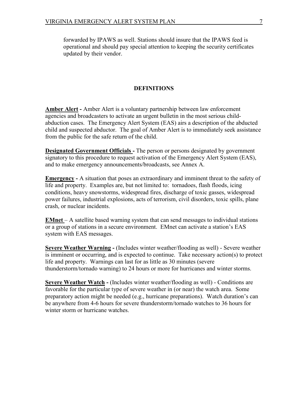forwarded by IPAWS as well. Stations should insure that the IPAWS feed is operational and should pay special attention to keeping the security certificates updated by their vendor.

#### **DEFINITIONS**

**Amber Alert -** Amber Alert is a voluntary partnership between law enforcement agencies and broadcasters to activate an urgent bulletin in the most serious childabduction cases. The Emergency Alert System (EAS) airs a description of the abducted child and suspected abductor. The goal of Amber Alert is to immediately seek assistance from the public for the safe return of the child.

**Designated Government Officials** - The person or persons designated by government signatory to this procedure to request activation of the Emergency Alert System (EAS), and to make emergency announcements/broadcasts, see Annex A.

**Emergency -** A situation that poses an extraordinary and imminent threat to the safety of life and property. Examples are, but not limited to: tornadoes, flash floods, icing conditions, heavy snowstorms, widespread fires, discharge of toxic gasses, widespread power failures, industrial explosions, acts of terrorism, civil disorders, toxic spills, plane crash, or nuclear incidents.

**EMnet** – A satellite based warning system that can send messages to individual stations or a group of stations in a secure environment. EMnet can activate a station's EAS system with EAS messages.

**Severe Weather Warning -** (Includes winter weather/flooding as well) - Severe weather is imminent or occurring, and is expected to continue. Take necessary action(s) to protect life and property. Warnings can last for as little as 30 minutes (severe thunderstorm/tornado warning) to 24 hours or more for hurricanes and winter storms.

**Severe Weather Watch -** (Includes winter weather/flooding as well) - Conditions are favorable for the particular type of severe weather in (or near) the watch area. Some preparatory action might be needed (e.g., hurricane preparations). Watch duration's can be anywhere from 4-6 hours for severe thunderstorm/tornado watches to 36 hours for winter storm or hurricane watches.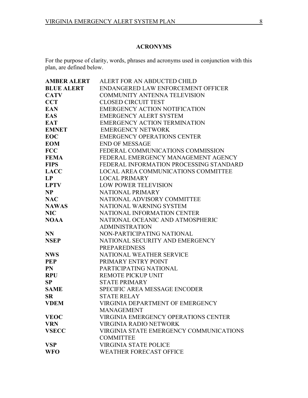## **ACRONYMS**

For the purpose of clarity, words, phrases and acronyms used in conjunction with this plan, are defined below.

| <b>AMBER ALERT</b> | ALERT FOR AN ABDUCTED CHILD                 |
|--------------------|---------------------------------------------|
| <b>BLUE ALERT</b>  | ENDANGERED LAW ENFORCEMENT OFFICER          |
| <b>CATV</b>        | <b>COMMUNITY ANTENNA TELEVISION</b>         |
| <b>CCT</b>         | <b>CLOSED CIRCUIT TEST</b>                  |
| <b>EAN</b>         | <b>EMERGENCY ACTION NOTIFICATION</b>        |
| <b>EAS</b>         | <b>EMERGENCY ALERT SYSTEM</b>               |
| <b>EAT</b>         | <b>EMERGENCY ACTION TERMINATION</b>         |
| <b>EMNET</b>       | <b>EMERGENCY NETWORK</b>                    |
| <b>EOC</b>         | <b>EMERGENCY OPERATIONS CENTER</b>          |
| <b>EOM</b>         | <b>END OF MESSAGE</b>                       |
| <b>FCC</b>         | FEDERAL COMMUNICATIONS COMMISSION           |
| <b>FEMA</b>        | FEDERAL EMERGENCY MANAGEMENT AGENCY         |
| <b>FIPS</b>        | FEDERAL INFORMATION PROCESSING STANDARD     |
| <b>LACC</b>        | LOCAL AREA COMMUNICATIONS COMMITTEE         |
| LP                 | <b>LOCAL PRIMARY</b>                        |
| <b>LPTV</b>        | <b>LOW POWER TELEVISION</b>                 |
| <b>NP</b>          | NATIONAL PRIMARY                            |
| <b>NAC</b>         | NATIONAL ADVISORY COMMITTEE                 |
| <b>NAWAS</b>       | NATIONAL WARNING SYSTEM                     |
| <b>NIC</b>         | NATIONAL INFORMATION CENTER                 |
| <b>NOAA</b>        | NATIONAL OCEANIC AND ATMOSPHERIC            |
|                    | <b>ADMINISTRATION</b>                       |
| <b>NN</b>          | NON-PARTICIPATING NATIONAL                  |
| <b>NSEP</b>        | NATIONAL SECURITY AND EMERGENCY             |
|                    | <b>PREPAREDNESS</b>                         |
| <b>NWS</b>         | NATIONAL WEATHER SERVICE                    |
| <b>PEP</b>         | PRIMARY ENTRY POINT                         |
| <b>PN</b>          | PARTICIPATING NATIONAL                      |
| <b>RPU</b>         | <b>REMOTE PICKUP UNIT</b>                   |
| <b>SP</b>          | <b>STATE PRIMARY</b>                        |
| <b>SAME</b>        | SPECIFIC AREA MESSAGE ENCODER               |
| <b>SR</b>          | <b>STATE RELAY</b>                          |
| <b>VDEM</b>        | VIRGINIA DEPARTMENT OF EMERGENCY            |
|                    | <b>MANAGEMENT</b>                           |
| <b>VEOC</b>        | <b>VIRGINIA EMERGENCY OPERATIONS CENTER</b> |
| <b>VRN</b>         | <b>VIRGINIA RADIO NETWORK</b>               |
| <b>VSECC</b>       | VIRGINIA STATE EMERGENCY COMMUNICATIONS     |
|                    | <b>COMMITTEE</b>                            |
| <b>VSP</b>         | <b>VIRGINIA STATE POLICE</b>                |
| <b>WFO</b>         | <b>WEATHER FORECAST OFFICE</b>              |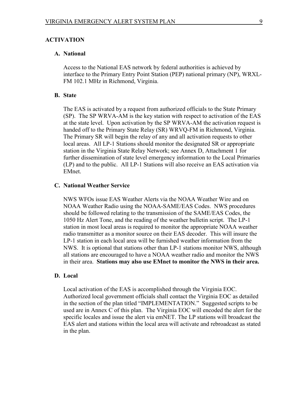#### **ACTIVATION**

#### **A. National**

Access to the National EAS network by federal authorities is achieved by interface to the Primary Entry Point Station (PEP) national primary (NP), WRXL-FM 102.1 MHz in Richmond, Virginia.

#### **B. State**

The EAS is activated by a request from authorized officials to the State Primary (SP). The SP WRVA-AM is the key station with respect to activation of the EAS at the state level. Upon activation by the SP WRVA-AM the activation request is handed off to the Primary State Relay (SR) WRVQ-FM in Richmond, Virginia. The Primary SR will begin the relay of any and all activation requests to other local areas. All LP-1 Stations should monitor the designated SR or appropriate station in the Virginia State Relay Network; see Annex D, Attachment 1 for further dissemination of state level emergency information to the Local Primaries (LP) and to the public. All LP-1 Stations will also receive an EAS activation via EMnet.

#### **C. National Weather Service**

NWS WFOs issue EAS Weather Alerts via the NOAA Weather Wire and on NOAA Weather Radio using the NOAA-SAME/EAS Codes. NWS procedures should be followed relating to the transmission of the SAME/EAS Codes, the 1050 Hz Alert Tone, and the reading of the weather bulletin script. The LP-1 station in most local areas is required to monitor the appropriate NOAA weather radio transmitter as a monitor source on their EAS decoder. This will insure the LP-1 station in each local area will be furnished weather information from the NWS. It is optional that stations other than LP-1 stations monitor NWS, although all stations are encouraged to have a NOAA weather radio and monitor the NWS in their area. **Stations may also use EMnet to monitor the NWS in their area.**

#### **D. Local**

Local activation of the EAS is accomplished through the Virginia EOC. Authorized local government officials shall contact the Virginia EOC as detailed in the section of the plan titled "IMPLEMENTATION." Suggested scripts to be used are in Annex C of this plan. The Virginia EOC will encoded the alert for the specific locales and issue the alert via emNET. The LP stations will broadcast the EAS alert and stations within the local area will activate and rebroadcast as stated in the plan.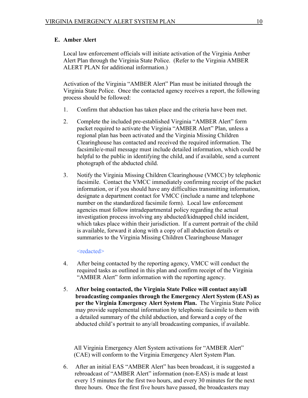## **E. Amber Alert**

Local law enforcement officials will initiate activation of the Virginia Amber Alert Plan through the Virginia State Police. (Refer to the Virginia AMBER ALERT PLAN for additional information.)

Activation of the Virginia "AMBER Alert" Plan must be initiated through the Virginia State Police. Once the contacted agency receives a report, the following process should be followed:

- 1. Confirm that abduction has taken place and the criteria have been met.
- 2. Complete the included pre-established Virginia "AMBER Alert" form packet required to activate the Virginia "AMBER Alert" Plan, unless a regional plan has been activated and the Virginia Missing Children Clearinghouse has contacted and received the required information. The facsimile/e-mail message must include detailed information, which could be helpful to the public in identifying the child, and if available, send a current photograph of the abducted child.
- 3. Notify the Virginia Missing Children Clearinghouse (VMCC) by telephonic facsimile. Contact the VMCC immediately confirming receipt of the packet information, or if you should have any difficulties transmitting information, designate a department contact for VMCC (include a name and telephone number on the standardized facsimile form). Local law enforcement agencies must follow intradepartmental policy regarding the actual investigation process involving any abducted/kidnapped child incident, which takes place within their jurisdiction. If a current portrait of the child is available, forward it along with a copy of all abduction details or summaries to the Virginia Missing Children Clearinghouse Manager

#### <redacted>

- 4. After being contacted by the reporting agency, VMCC will conduct the required tasks as outlined in this plan and confirm receipt of the Virginia "AMBER Alert" form information with the reporting agency.
- 5. **After being contacted, the Virginia State Police will contact any/all broadcasting companies through the Emergency Alert System (EAS) as per the Virginia Emergency Alert System Plan.** The Virginia State Police may provide supplemental information by telephonic facsimile to them with a detailed summary of the child abduction, and forward a copy of the abducted child's portrait to any/all broadcasting companies, if available.

 All Virginia Emergency Alert System activations for "AMBER Alert" (CAE) will conform to the Virginia Emergency Alert System Plan.

6. After an initial EAS "AMBER Alert" has been broadcast, it is suggested a rebroadcast of "AMBER Alert" information (non-EAS) is made at least every 15 minutes for the first two hours, and every 30 minutes for the next three hours. Once the first five hours have passed, the broadcasters may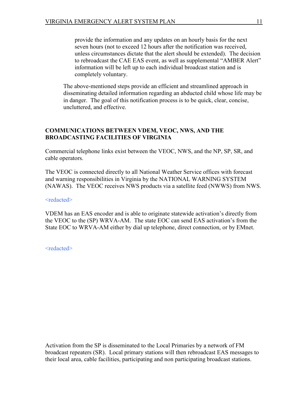provide the information and any updates on an hourly basis for the next seven hours (not to exceed 12 hours after the notification was received, unless circumstances dictate that the alert should be extended). The decision to rebroadcast the CAE EAS event, as well as supplemental "AMBER Alert" information will be left up to each individual broadcast station and is completely voluntary.

The above-mentioned steps provide an efficient and streamlined approach in disseminating detailed information regarding an abducted child whose life may be in danger. The goal of this notification process is to be quick, clear, concise, uncluttered, and effective.

#### **COMMUNICATIONS BETWEEN VDEM, VEOC, NWS, AND THE BROADCASTING FACILITIES OF VIRGINIA**

Commercial telephone links exist between the VEOC, NWS, and the NP, SP, SR, and cable operators.

The VEOC is connected directly to all National Weather Service offices with forecast and warning responsibilities in Virginia by the NATIONAL WARNING SYSTEM (NAWAS). The VEOC receives NWS products via a satellite feed (NWWS) from NWS.

#### <redacted>

VDEM has an EAS encoder and is able to originate statewide activation's directly from the VEOC to the (SP) WRVA-AM. The state EOC can send EAS activation's from the State EOC to WRVA-AM either by dial up telephone, direct connection, or by EMnet.

<redacted>

Activation from the SP is disseminated to the Local Primaries by a network of FM broadcast repeaters (SR). Local primary stations will then rebroadcast EAS messages to their local area, cable facilities, participating and non participating broadcast stations.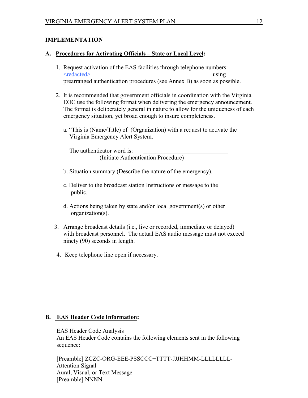## **IMPLEMENTATION**

#### **A. Procedures for Activating Officials – State or Local Level:**

- 1. Request activation of the EAS facilities through telephone numbers: <redacted> using prearranged authentication procedures (see Annex B) as soon as possible.
- 2. It is recommended that government officials in coordination with the Virginia EOC use the following format when delivering the emergency announcement. The format is deliberately general in nature to allow for the uniqueness of each emergency situation, yet broad enough to insure completeness.
	- a. "This is (Name/Title) of (Organization) with a request to activate the Virginia Emergency Alert System.

The authenticator word is: (Initiate Authentication Procedure)

- b. Situation summary (Describe the nature of the emergency).
- c. Deliver to the broadcast station Instructions or message to the public.
- d. Actions being taken by state and/or local government(s) or other organization(s).
- 3. Arrange broadcast details (i.e., live or recorded, immediate or delayed) with broadcast personnel. The actual EAS audio message must not exceed ninety (90) seconds in length.
- 4. Keep telephone line open if necessary.

#### **B. EAS Header Code Information:**

EAS Header Code Analysis An EAS Header Code contains the following elements sent in the following sequence:

[Preamble] ZCZC-ORG-EEE-PSSCCC+TTTT-JJJHHMM-LLLLLLLL-Attention Signal Aural, Visual, or Text Message [Preamble] NNNN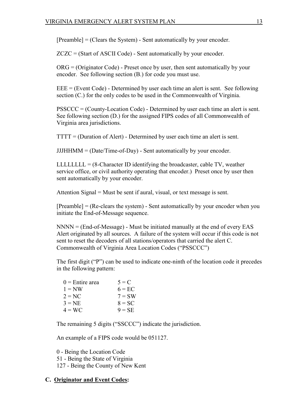$[Preamble] = (Clearly the System) - Sent automatically by your encoder.$ 

ZCZC = (Start of ASCII Code) - Sent automatically by your encoder.

ORG = (Originator Code) - Preset once by user, then sent automatically by your encoder. See following section (B.) for code you must use.

 $EEE = (Event Code) - Determined by user each time an alert is sent. See following$ section (C.) for the only codes to be used in the Commonwealth of Virginia.

PSSCCC = (County-Location Code) - Determined by user each time an alert is sent. See following section (D.) for the assigned FIPS codes of all Commonwealth of Virginia area jurisdictions.

 $TTTT = (Duration of Alter) - Determined by user each time an alert is sent.$ 

 $JJHHMM = (Date/Time-of-Day)$  - Sent automatically by your encoder.

LLLLLLL =  $(8$ -Character ID identifying the broadcaster, cable TV, weather service office, or civil authority operating that encoder.) Preset once by user then sent automatically by your encoder.

Attention Signal = Must be sent if aural, visual, or text message is sent.

[Preamble] = (Re-clears the system) - Sent automatically by your encoder when you initiate the End-of-Message sequence.

 $NNNN = (End-of-Message)$  - Must be initiated manually at the end of every EAS Alert originated by all sources. A failure of the system will occur if this code is not sent to reset the decoders of all stations/operators that carried the alert C. Commonwealth of Virginia Area Location Codes ("PSSCCC")

The first digit ("P") can be used to indicate one-ninth of the location code it precedes in the following pattern:

| $0 =$ Entire area | $5 = C$  |
|-------------------|----------|
| $1 = NW$          | $6 = EC$ |
| $2 = NC$          | $7 = SW$ |
| $3 = NE$          | $8 = SC$ |
| $4 = WC$          | $9 = SE$ |

The remaining 5 digits ("SSCCC") indicate the jurisdiction.

An example of a FIPS code would be 051127.

0 - Being the Location Code

51 - Being the State of Virginia

127 - Being the County of New Kent

## **C. Originator and Event Codes:**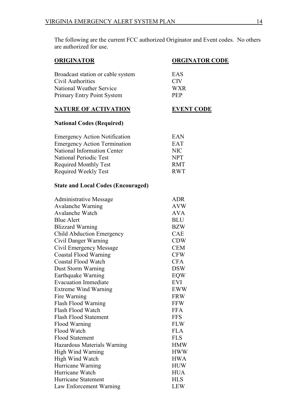The following are the current FCC authorized Originator and Event codes. No others are authorized for use.

| <b>ORIGINATOR</b>                         | <b>ORGINATOR CODE</b> |  |
|-------------------------------------------|-----------------------|--|
| Broadcast station or cable system         | EAS                   |  |
| Civil Authorities                         | <b>CIV</b>            |  |
| National Weather Service                  | <b>WXR</b>            |  |
| <b>Primary Entry Point System</b>         | PEP                   |  |
| <b>NATURE OF ACTIVATION</b>               | <b>EVENT CODE</b>     |  |
| <b>National Codes (Required)</b>          |                       |  |
| <b>Emergency Action Notification</b>      | EAN                   |  |
| <b>Emergency Action Termination</b>       | <b>EAT</b>            |  |
| National Information Center               | <b>NIC</b>            |  |
| National Periodic Test                    | <b>NPT</b>            |  |
| <b>Required Monthly Test</b>              | <b>RMT</b>            |  |
| <b>Required Weekly Test</b>               | <b>RWT</b>            |  |
| <b>State and Local Codes (Encouraged)</b> |                       |  |
| <b>Administrative Message</b>             | <b>ADR</b>            |  |
| <b>Avalanche Warning</b>                  | <b>AVW</b>            |  |
| <b>Avalanche Watch</b>                    | <b>AVA</b>            |  |
| <b>Blue Alert</b>                         | <b>BLU</b>            |  |
| <b>Blizzard Warning</b>                   | <b>BZW</b>            |  |
| Child Abduction Emergency                 | CAE                   |  |
| Civil Danger Warning                      | <b>CDW</b>            |  |
| Civil Emergency Message                   | <b>CEM</b>            |  |
| <b>Coastal Flood Warning</b>              | <b>CFW</b>            |  |
| <b>Coastal Flood Watch</b>                | <b>CFA</b>            |  |
| Dust Storm Warning                        | <b>DSW</b>            |  |
| Earthquake Warning                        | <b>EQW</b>            |  |
| <b>Evacuation Immediate</b>               | <b>EVI</b>            |  |
| <b>Extreme Wind Warning</b>               | EWW                   |  |
| Fire Warning                              | <b>FRW</b>            |  |
| Flash Flood Warning                       | <b>FFW</b>            |  |
| Flash Flood Watch                         | <b>FFA</b>            |  |
| <b>Flash Flood Statement</b>              | <b>FFS</b>            |  |
| Flood Warning                             | <b>FLW</b>            |  |
| Flood Watch                               | <b>FLA</b>            |  |
| <b>Flood Statement</b>                    | <b>FLS</b>            |  |
| Hazardous Materials Warning               | <b>HMW</b>            |  |
| <b>High Wind Warning</b>                  | <b>HWW</b>            |  |
| High Wind Watch                           | <b>HWA</b>            |  |
| Hurricane Warning                         | <b>HUW</b>            |  |
| Hurricane Watch                           | <b>HUA</b>            |  |
| Hurricane Statement                       | <b>HLS</b>            |  |

Law Enforcement Warning LEW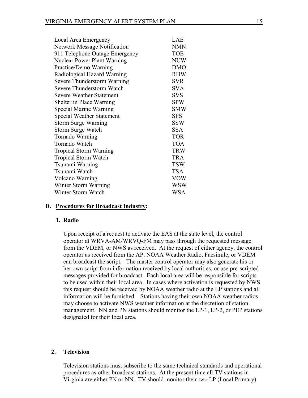| Local Area Emergency                | LAE        |
|-------------------------------------|------------|
| <b>Network Message Notification</b> | <b>NMN</b> |
| 911 Telephone Outage Emergency      | <b>TOE</b> |
| <b>Nuclear Power Plant Warning</b>  | <b>NUW</b> |
| Practice/Demo Warning               | <b>DMO</b> |
| Radiological Hazard Warning         | <b>RHW</b> |
| Severe Thunderstorm Warning         | <b>SVR</b> |
| Severe Thunderstorm Watch           | <b>SVA</b> |
| <b>Severe Weather Statement</b>     | <b>SVS</b> |
| Shelter in Place Warning            | <b>SPW</b> |
| Special Marine Warning              | <b>SMW</b> |
| <b>Special Weather Statement</b>    | <b>SPS</b> |
| <b>Storm Surge Warning</b>          | <b>SSW</b> |
| <b>Storm Surge Watch</b>            | <b>SSA</b> |
| Tornado Warning                     | <b>TOR</b> |
| Tornado Watch                       | <b>TOA</b> |
| <b>Tropical Storm Warning</b>       | <b>TRW</b> |
| <b>Tropical Storm Watch</b>         | <b>TRA</b> |
| Tsunami Warning                     | <b>TSW</b> |
| Tsunami Watch                       | <b>TSA</b> |
| Volcano Warning                     | <b>VOW</b> |
| Winter Storm Warning                | WSW        |
| Winter Storm Watch                  | WSA        |

#### **D. Procedures for Broadcast Industry:**

#### **1. Radio**

Upon receipt of a request to activate the EAS at the state level, the control operator at WRVA-AM/WRVQ-FM may pass through the requested message from the VDEM, or NWS as received. At the request of either agency, the control operator as received from the AP, NOAA Weather Radio, Facsimile, or VDEM can broadcast the script. The master control operator may also generate his or her own script from information received by local authorities, or use pre-scripted messages provided for broadcast. Each local area will be responsible for scripts to be used within their local area. In cases where activation is requested by NWS this request should be received by NOAA weather radio at the LP stations and all information will be furnished. Stations having their own NOAA weather radios may choose to activate NWS weather information at the discretion of station management. NN and PN stations should monitor the LP-1, LP-2, or PEP stations designated for their local area.

#### **2. Television**

Television stations must subscribe to the same technical standards and operational procedures as other broadcast stations. At the present time all TV stations in Virginia are either PN or NN. TV should monitor their two LP (Local Primary)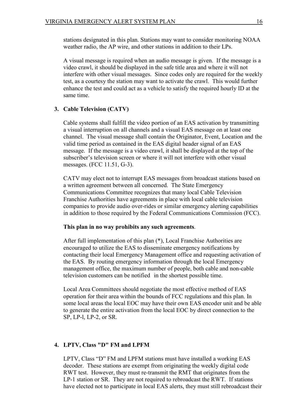stations designated in this plan. Stations may want to consider monitoring NOAA weather radio, the AP wire, and other stations in addition to their LPs.

A visual message is required when an audio message is given. If the message is a video crawl, it should be displayed in the safe title area and where it will not interfere with other visual messages. Since codes only are required for the weekly test, as a courtesy the station may want to activate the crawl. This would further enhance the test and could act as a vehicle to satisfy the required hourly ID at the same time.

#### **3. Cable Television (CATV)**

Cable systems shall fulfill the video portion of an EAS activation by transmitting a visual interruption on all channels and a visual EAS message on at least one channel. The visual message shall contain the Originator, Event, Location and the valid time period as contained in the EAS digital header signal of an EAS message. If the message is a video crawl, it shall be displayed at the top of the subscriber's television screen or where it will not interfere with other visual messages. (FCC 11.51, G-3).

CATV may elect not to interrupt EAS messages from broadcast stations based on a written agreement between all concerned. The State Emergency Communications Committee recognizes that many local Cable Television Franchise Authorities have agreements in place with local cable television companies to provide audio over-rides or similar emergency alerting capabilities in addition to those required by the Federal Communications Commission (FCC).

#### **This plan in no way prohibits any such agreements**.

After full implementation of this plan (\*), Local Franchise Authorities are encouraged to utilize the EAS to disseminate emergency notifications by contacting their local Emergency Management office and requesting activation of the EAS. By routing emergency information through the local Emergency management office, the maximum number of people, both cable and non-cable television customers can be notified in the shortest possible time.

Local Area Committees should negotiate the most effective method of EAS operation for their area within the bounds of FCC regulations and this plan. In some local areas the local EOC may have their own EAS encoder unit and be able to generate the entire activation from the local EOC by direct connection to the SP, LP-l, LP-2, or SR.

#### **4. LPTV, Class "D" FM and LPFM**

LPTV, Class "D" FM and LPFM stations must have installed a working EAS decoder. These stations are exempt from originating the weekly digital code RWT test. However, they must re-transmit the RMT that originates from the LP-1 station or SR. They are not required to rebroadcast the RWT. If stations have elected not to participate in local EAS alerts, they must still rebroadcast their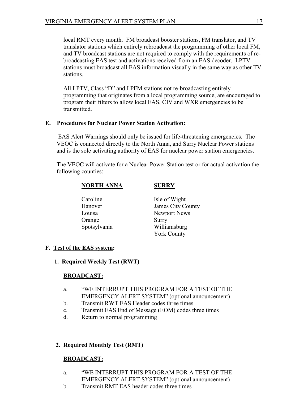local RMT every month. FM broadcast booster stations, FM translator, and TV translator stations which entirely rebroadcast the programming of other local FM, and TV broadcast stations are not required to comply with the requirements of rebroadcasting EAS test and activations received from an EAS decoder. LPTV stations must broadcast all EAS information visually in the same way as other TV stations.

All LPTV, Class "D" and LPFM stations not re-broadcasting entirely programming that originates from a local programming source, are encouraged to program their filters to allow local EAS, CIV and WXR emergencies to be transmitted.

## **E. Procedures for Nuclear Power Station Activation:**

EAS Alert Warnings should only be issued for life-threatening emergencies. The VEOC is connected directly to the North Anna, and Surry Nuclear Power stations and is the sole activating authority of EAS for nuclear power station emergencies.

The VEOC will activate for a Nuclear Power Station test or for actual activation the following counties:

#### **NORTH ANNA SURRY**

- Orange Surry
- Caroline Isle of Wight Hanover James City County Louisa Newport News Spotsylvania Williamsburg York County

## **F. Test of the EAS system:**

## **1. Required Weekly Test (RWT)**

## **BROADCAST:**

- a. "WE INTERRUPT THIS PROGRAM FOR A TEST OF THE EMERGENCY ALERT SYSTEM" (optional announcement)
- b. Transmit RWT EAS Header codes three times
- c. Transmit EAS End of Message (EOM) codes three times
- d. Return to normal programming

## **2. Required Monthly Test (RMT)**

## **BROADCAST:**

- a. "WE INTERRUPT THIS PROGRAM FOR A TEST OF THE EMERGENCY ALERT SYSTEM" (optional announcement)
- b. Transmit RMT EAS header codes three times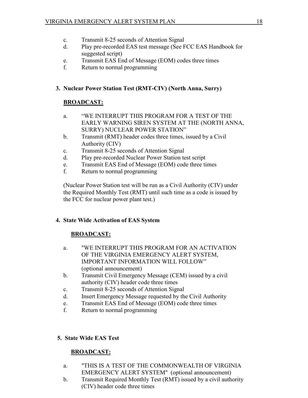- c. Transmit 8-25 seconds of Attention Signal
- d. Play pre-recorded EAS test message (See FCC EAS Handbook for suggested script)
- e. Transmit EAS End of Message (EOM) codes three times
- f. Return to normal programming

## **3. Nuclear Power Station Test (RMT-CIV) (North Anna, Surry)**

## **BROADCAST:**

- a. "WE INTERRUPT THIS PROGRAM FOR A TEST OF THE EARLY WARNING SIREN SYSTEM AT THE (NORTH ANNA, SURRY) NUCLEAR POWER STATION"
- b. Transmit (RMT) header codes three times, issued by a Civil Authority (CIV)
- c. Transmit 8-25 seconds of Attention Signal
- d. Play pre-recorded Nuclear Power Station test script
- e. Transmit EAS End of Message (EOM) code three times
- f. Return to normal programming

(Nuclear Power Station test will be run as a Civil Authority (CIV) under the Required Monthly Test (RMT) until such time as a code is issued by the FCC for nuclear power plant test.)

## **4. State Wide Activation of EAS System**

## **BROADCAST:**

- a. "WE INTERRUPT THIS PROGRAM FOR AN ACTIVATION OF THE VIRGINIA EMERGENCY ALERT SYSTEM, IMPORTANT INFORMATION WILL FOLLOW" (optional announcement)
- b. Transmit Civil Emergency Message (CEM) issued by a civil authority (CIV) header code three times
- c. Transmit 8-25 seconds of Attention Signal
- d. Insert Emergency Message requested by the Civil Authority
- e. Transmit EAS End of Message (EOM) code three times
- f. Return to normal programming

## **5. State Wide EAS Test**

## **BROADCAST:**

- a. "THIS IS A TEST OF THE COMMONWEALTH OF VIRGINIA EMERGENCY ALERT SYSTEM" (optional announcement)
- b. Transmit Required Monthly Test (RMT) issued by a civil authority (CIV) header code three times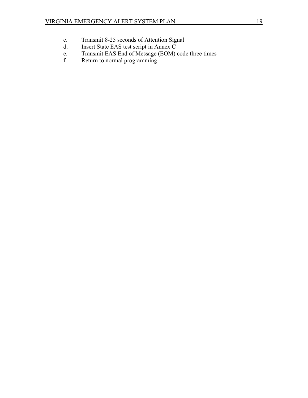- c. Transmit 8-25 seconds of Attention Signal<br>d. Insert State EAS test script in Annex C
- Insert State EAS test script in Annex C
- e. Transmit EAS End of Message (EOM) code three times
- f. Return to normal programming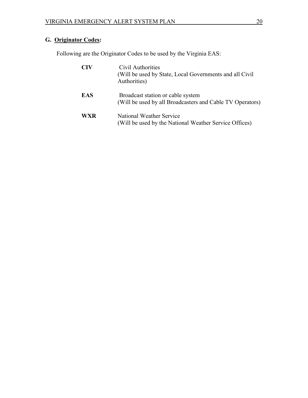## **G. Originator Codes:**

Following are the Originator Codes to be used by the Virginia EAS:

| CIV        | Civil Authorities<br>(Will be used by State, Local Governments and all Civil<br>Authorities)   |
|------------|------------------------------------------------------------------------------------------------|
| <b>EAS</b> | Broadcast station or cable system<br>(Will be used by all Broadcasters and Cable TV Operators) |
| WXR        | National Weather Service<br>(Will be used by the National Weather Service Offices)             |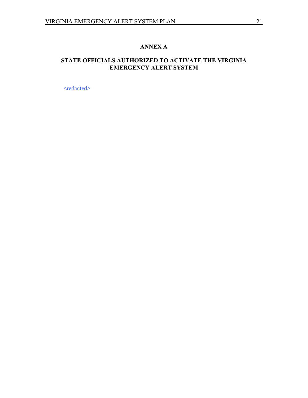## **ANNEX A**

## **STATE OFFICIALS AUTHORIZED TO ACTIVATE THE VIRGINIA EMERGENCY ALERT SYSTEM**

<redacted>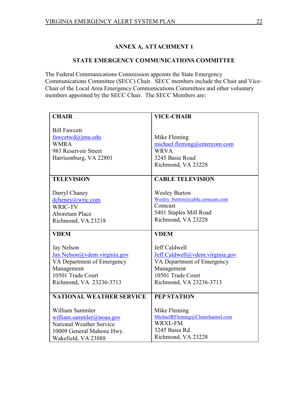## **ANNEX A, ATTACHMENT 1**

#### **STATE EMERGENCY COMMUNICATIONS COMMITTEE**

The Federal Communications Commission appoints the State Emergency Communications Committee (SECC) Chair. SECC members include the Chair and Vice-Chair of the Local Area Emergency Communications Committees and other voluntary members appointed by the SECC Chair. The SECC Members are:

| <b>CHAIR</b>                                               | <b>VICE-CHAIR</b>                                             |
|------------------------------------------------------------|---------------------------------------------------------------|
|                                                            |                                                               |
| <b>Bill Fawcett</b>                                        |                                                               |
| fawcetwd@jmu.edu                                           | Mike Fleming                                                  |
| <b>WMRA</b>                                                | michael.fleming@entercom.com                                  |
| 983 Reservoir Street                                       | <b>WRVA</b>                                                   |
| Harrisonburg, VA 22801                                     | 3245 Basie Road                                               |
|                                                            | Richmond, VA 23228                                            |
|                                                            |                                                               |
| <b>TELEVISION</b>                                          | <b>CABLE TELEVISION</b>                                       |
|                                                            |                                                               |
| Darryl Chaney                                              | <b>Wesley Burton</b>                                          |
| dcheney@wric.com                                           | Wesley burton@cable.comcast.com<br>Comcast                    |
| WRIC-TV                                                    |                                                               |
| <b>Aboretum Place</b>                                      | 5401 Staples Mill Road                                        |
| Richmond, VA 23218                                         | Richmond, VA 23228                                            |
| <b>VDEM</b>                                                | <b>VDEM</b>                                                   |
|                                                            |                                                               |
|                                                            |                                                               |
| Jay Nelson                                                 | Jeff Caldwell                                                 |
|                                                            |                                                               |
| Jay.Nelson@vdem.virginia.gov<br>VA Department of Emergency | Jeff.Caldwell@vdem.virginia.gov<br>VA Department of Emergency |
| Management                                                 | Management                                                    |
| 10501 Trade Court                                          | 10501 Trade Court                                             |
| Richmond, VA 23236-3713                                    | Richmond, VA 23236-3713                                       |
|                                                            |                                                               |
| <b>NATIONAL WEATHER SERVICE</b>                            | <b>PEP STATION</b>                                            |
|                                                            |                                                               |
| William Sammler                                            | Mike Fleming                                                  |
| william.sammler@noaa.gov                                   | MichaelRFleming@Clearchannel.com                              |
| National Weather Service                                   | <b>WRXL-FM</b>                                                |
| 10009 General Mahone Hwy.                                  | 3245 Basie Rd.<br>Richmond, VA 23228                          |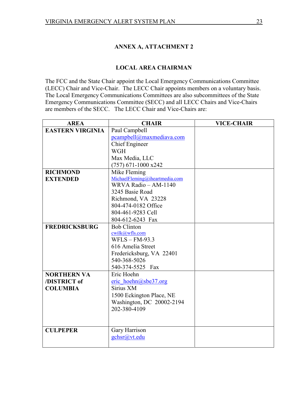## **ANNEX A, ATTACHMENT 2**

#### **LOCAL AREA CHAIRMAN**

The FCC and the State Chair appoint the Local Emergency Communications Committee (LECC) Chair and Vice-Chair. The LECC Chair appoints members on a voluntary basis. The Local Emergency Communications Committees are also subcommittees of the State Emergency Communications Committee (SECC) and all LECC Chairs and Vice-Chairs are members of the SECC. The LECC Chair and Vice-Chairs are:

| <b>AREA</b>             | <b>CHAIR</b>                   | <b>VICE-CHAIR</b> |
|-------------------------|--------------------------------|-------------------|
| <b>EASTERN VIRGINIA</b> | Paul Campbell                  |                   |
|                         | pcampbell@maxmediava.com       |                   |
|                         | <b>Chief Engineer</b>          |                   |
|                         | <b>WGH</b>                     |                   |
|                         | Max Media, LLC                 |                   |
|                         | $(757)$ 671-1000 x242          |                   |
| <b>RICHMOND</b>         | Mike Fleming                   |                   |
| <b>EXTENDED</b>         | MichaelFleming@iheartmedia.com |                   |
|                         | WRVA Radio - AM-1140           |                   |
|                         | 3245 Basie Road                |                   |
|                         | Richmond, VA 23228             |                   |
|                         | 804-474-0182 Office            |                   |
|                         | 804-461-9283 Cell              |                   |
|                         | 804-612-6243 Fax               |                   |
| <b>FREDRICKSBURG</b>    | <b>Bob Clinton</b>             |                   |
|                         | cwilk@wfls.com                 |                   |
|                         | $WFLS - FM-93.3$               |                   |
|                         | 616 Amelia Street              |                   |
|                         | Fredericksburg, VA 22401       |                   |
|                         | 540-368-5026                   |                   |
|                         | 540-374-5525 Fax               |                   |
| <b>NORTHERN VA</b>      | Eric Hoehn                     |                   |
| /DISTRICT of            | eric hoehn@sbe37.org           |                   |
| <b>COLUMBIA</b>         | Sirius XM                      |                   |
|                         | 1500 Eckington Place, NE       |                   |
|                         | Washington, DC 20002-2194      |                   |
|                         | 202-380-4109                   |                   |
|                         |                                |                   |
|                         |                                |                   |
| <b>CULPEPER</b>         | Gary Harrison                  |                   |
|                         | gchsr@vt.edu                   |                   |
|                         |                                |                   |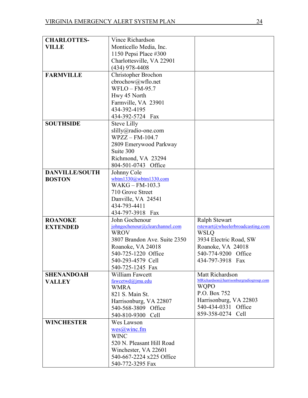| <b>CHARLOTTES-</b>    | Vince Richardson                         |                                         |
|-----------------------|------------------------------------------|-----------------------------------------|
| <b>VILLE</b>          | Monticello Media, Inc.                   |                                         |
|                       | 1150 Pepsi Place #300                    |                                         |
|                       | Charlottesville, VA 22901                |                                         |
|                       | (434) 978-4408                           |                                         |
| <b>FARMVILLE</b>      | Christopher Brochon                      |                                         |
|                       | cbrochow@wflo.net                        |                                         |
|                       | WFLO - FM-95.7                           |                                         |
|                       | Hwy 45 North                             |                                         |
|                       | Farmville, VA 23901                      |                                         |
|                       | 434-392-4195                             |                                         |
|                       | 434-392-5724 Fax                         |                                         |
| <b>SOUTHSIDE</b>      | <b>Steve Lilly</b>                       |                                         |
|                       | slilly@radio-one.com                     |                                         |
|                       | $WPZZ - FM-104.7$                        |                                         |
|                       | 2809 Emerywood Parkway                   |                                         |
|                       | Suite 300                                |                                         |
|                       | Richmond, VA 23294                       |                                         |
|                       | 804-501-0743 Office                      |                                         |
| <b>DANVILLE/SOUTH</b> | Johnny Cole                              |                                         |
| <b>BOSTON</b>         | wbtm1330@wbtm1330.com                    |                                         |
|                       | $WAKG - FM-103.3$                        |                                         |
|                       | 710 Grove Street                         |                                         |
|                       | Danville, VA 24541                       |                                         |
|                       | 434-793-4411                             |                                         |
|                       | 434-797-3918 Fax                         |                                         |
| <b>ROANOKE</b>        | John Gochenour                           | <b>Ralph Stewart</b>                    |
| <b>EXTENDED</b>       | johngochenour@clearchannel.com           | rstewart@wheelerbroadcasting.com        |
|                       | <b>WROV</b>                              | <b>WSLQ</b>                             |
|                       | 3807 Brandon Ave. Suite 2350             | 3934 Electric Road, SW                  |
|                       | Roanoke, VA 24018                        | Roanoke, VA 24018                       |
|                       | 540-725-1220 Office<br>540-293-4579 Cell | 540-774-9200 Office<br>434-797-3918 Fax |
|                       |                                          |                                         |
|                       | 540-725-1245 Fax<br>William Fawcett      | Matt Richardson                         |
| <b>SHENANDOAH</b>     | fawcetwd@jmu.edu                         | MRichardson@harrisonburgradiogroup.com  |
| <b>VALLEY</b>         | <b>WMRA</b>                              | <b>WQPO</b>                             |
|                       | 821 S. Main St.                          | P.O. Box 752                            |
|                       | Harrisonburg, VA 22807                   | Harrisonburg, VA 22803                  |
|                       | 540-568-3809 Office                      | 540-434-0331 Office                     |
|                       | 540-810-9300 Cell                        | 859-358-0274 Cell                       |
| <b>WINCHESTER</b>     | Wes Lawson                               |                                         |
|                       | wes@winc.fm                              |                                         |
|                       | <b>WINC</b>                              |                                         |
|                       | 520 N. Pleasant Hill Road                |                                         |
|                       | Winchester, VA 22601                     |                                         |
|                       | 540-667-2224 x225 Office                 |                                         |
|                       | 540-772-3295 Fax                         |                                         |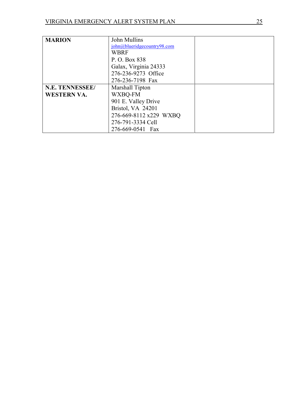| <b>MARION</b>      | John Mullins                |  |
|--------------------|-----------------------------|--|
|                    | john@blueridgecountry98.com |  |
|                    | <b>WBRF</b>                 |  |
|                    | P. O. Box 838               |  |
|                    | Galax, Virginia 24333       |  |
|                    | 276-236-9273 Office         |  |
|                    | 276-236-7198 Fax            |  |
| N.E. TENNESSEE/    | Marshall Tipton             |  |
| <b>WESTERN VA.</b> | WXBQ-FM                     |  |
|                    | 901 E. Valley Drive         |  |
|                    | Bristol, VA 24201           |  |
|                    | 276-669-8112 x229 WXBQ      |  |
|                    | 276-791-3334 Cell           |  |
|                    | 276-669-0541 Fax            |  |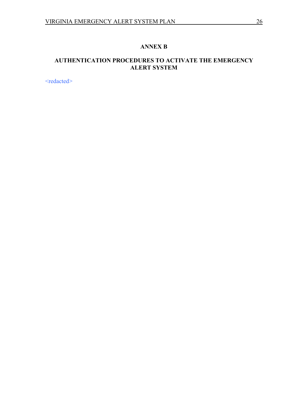## **ANNEX B**

## **AUTHENTICATION PROCEDURES TO ACTIVATE THE EMERGENCY ALERT SYSTEM**

<redacted>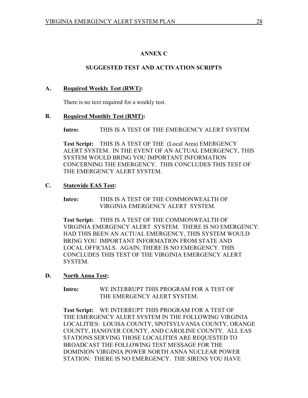## **ANNEX C**

## **SUGGESTED TEST AND ACTIVATION SCRIPTS**

## **A. Required Weekly Test (RWT):**

There is no text required for a weekly test.

## **B. Required Monthly Test (RMT):**

**Intro:** THIS IS A TEST OF THE EMERGENCY ALERT SYSTEM

**Test Script:** THIS IS A TEST OF THE (Local Area) EMERGENCY ALERT SYSTEM. IN THE EVENT OF AN ACTUAL EMERGENCY, THIS SYSTEM WOULD BRING YOU IMPORTANT INFORMATION CONCERNING THE EMERGENCY. THIS CONCLUDES THIS TEST OF THE EMERGENCY ALERT SYSTEM.

## **C. Statewide EAS Test:**

**Intro:** THIS IS A TEST OF THE COMMONWEALTH OF VIRGINIA EMERGENCY ALERT SYSTEM.

**Test Script:** THIS IS A TEST OF THE COMMONWEALTH OF VIRGINIA EMERGENCY ALERT SYSTEM. THERE IS NO EMERGENCY. HAD THIS BEEN AN ACTUAL EMERGENCY, THIS SYSTEM WOULD BRING YOU IMPORTANT INFORMATION FROM STATE AND LOCAL OFFICIALS. AGAIN, THERE IS NO EMERGENCY. THIS CONCLUDES THIS TEST OF THE VIRGINIA EMERGENCY ALERT SYSTEM.

## **D. North Anna Test:**

**Intro:** WE INTERRUPT THIS PROGRAM FOR A TEST OF THE EMERGENCY ALERT SYSTEM.

**Test Script:** WE INTERRUPT THIS PROGRAM FOR A TEST OF THE EMERGENCY ALERT SYSTEM IN THE FOLLOWING VIRGINIA LOCALITIES: LOUISA COUNTY, SPOTSYLVANIA COUNTY, ORANGE COUNTY, HANOVER COUNTY, AND CAROLINE COUNTY. ALL EAS STATIONS SERVING THOSE LOCALITIES ARE REQUESTED TO BROADCAST THE FOLLOWING TEST MESSAGE FOR THE DOMINION VIRGINIA POWER NORTH ANNA NUCLEAR POWER STATION: THERE IS NO EMERGENCY. THE SIRENS YOU HAVE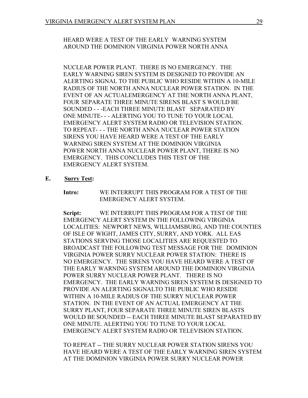### HEARD WERE A TEST OF THE EARLY WARNING SYSTEM AROUND THE DOMINION VIRGINIA POWER NORTH ANNA

NUCLEAR POWER PLANT. THERE IS NO EMERGENCY. THE EARLY WARNING SIREN SYSTEM IS DESIGNED TO PROVIDE AN ALERTING SIGNAL TO THE PUBLIC WHO RESIDE WITHIN A 10-MILE RADIUS OF THE NORTH ANNA NUCLEAR POWER STATION. IN THE EVENT OF AN ACTUALEMERGENCY AT THE NORTH ANNA PLANT, FOUR SEPARATE THREE MINUTE SIRENS BLAST S WOULD BE SOUNDED - - -EACH THREE MINUTE BLAST SEPARATED BY ONE MINUTE- - - ALERTING YOU TO TUNE TO YOUR LOCAL EMERGENCY ALERT SYSTEM RADIO OR TELEVISION STATION. TO REPEAT- - - THE NORTH ANNA NUCLEAR POWER STATION SIRENS YOU HAVE HEARD WERE A TEST OF THE EARLY WARNING SIREN SYSTEM AT THE DOMINION VIRGINIA POWER NORTH ANNA NUCLEAR POWER PLANT, THERE IS NO EMERGENCY. THIS CONCLUDES THIS TEST OF THE EMERGENCY ALERT SYSTEM.

- **E. Surry Test:**
	- **Intro:** WE INTERRUPT THIS PROGRAM FOR A TEST OF THE EMERGENCY ALERT SYSTEM.

**Script:** WE INTERRUPT THIS PROGRAM FOR A TEST OF THE EMERGENCY ALERT SYSTEM IN THE FOLLOWING VIRGINIA LOCALITIES: NEWPORT NEWS, WILLIAMSBURG, AND THE COUNTIES OF ISLE OF WIGHT, JAMES CITY, SURRY, AND YORK. ALL EAS STATIONS SERVING THOSE LOCALITIES ARE REQUESTED TO BROADCAST THE FOLLOWING TEST MESSAGE FOR THE DOMINION VIRGINIA POWER SURRY NUCLEAR POWER STATION: THERE IS NO EMERGENCY. THE SIRENS YOU HAVE HEARD WERE A TEST OF THE EARLY WARNING SYSTEM AROUND THE DOMINION VIRGINIA POWER SURRY NUCLEAR POWER PLANT. THERE IS NO EMERGENCY. THE EARLY WARNING SIREN SYSTEM IS DESIGNED TO PROVIDE AN ALERTING SIGNALTO THE PUBLIC WHO RESIDE WITHIN A 10-MILE RADIUS OF THE SURRY NUCLEAR POWER STATION. IN THE EVENT OF AN ACTUAL EMERGENCY AT THE SURRY PLANT, FOUR SEPARATE THREE MINUTE SIREN BLASTS WOULD BE SOUNDED -- EACH THREE MINUTE BLAST SEPARATED BY ONE MINUTE. ALERTING YOU TO TUNE TO YOUR LOCAL EMERGENCY ALERT SYSTEM RADIO OR TELEVISION STATION.

TO REPEAT -- THE SURRY NUCLEAR POWER STATION SIRENS YOU HAVE HEARD WERE A TEST OF THE EARLY WARNING SIREN SYSTEM AT THE DOMINION VIRGINIA POWER SURRY NUCLEAR POWER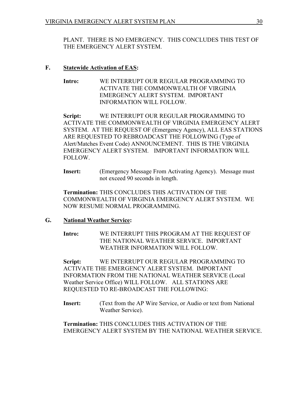PLANT. THERE IS NO EMERGENCY. THIS CONCLUDES THIS TEST OF THE EMERGENCY ALERT SYSTEM.

## **F. Statewide Activation of EAS:**

**Intro:** WE INTERRUPT OUR REGULAR PROGRAMMING TO ACTIVATE THE COMMONWEALTH OF VIRGINIA EMERGENCY ALERT SYSTEM. IMPORTANT INFORMATION WILL FOLLOW.

**Script:** WE INTERRUPT OUR REGULAR PROGRAMMING TO ACTIVATE THE COMMONWEALTH OF VIRGINIA EMERGENCY ALERT SYSTEM. AT THE REQUEST OF (Emergency Agency), ALL EAS STATIONS ARE REQUESTED TO REBROADCAST THE FOLLOWING (Type of Alert/Matches Event Code) ANNOUNCEMENT. THIS IS THE VIRGINIA EMERGENCY ALERT SYSTEM. IMPORTANT INFORMATION WILL FOLLOW.

**Insert:** (Emergency Message From Activating Agency). Message must not exceed 90 seconds in length.

**Termination:** THIS CONCLUDES THIS ACTIVATION OF THE COMMONWEALTH OF VIRGINIA EMERGENCY ALERT SYSTEM. WE NOW RESUME NORMAL PROGRAMMING.

## **G. National Weather Service:**

**Intro:** WE INTERRUPT THIS PROGRAM AT THE REQUEST OF THE NATIONAL WEATHER SERVICE. IMPORTANT WEATHER INFORMATION WILL FOLLOW.

**Script:** WE INTERRUPT OUR REGULAR PROGRAMMING TO ACTIVATE THE EMERGENCY ALERT SYSTEM. IMPORTANT INFORMATION FROM THE NATIONAL WEATHER SERVICE (Local Weather Service Office) WILL FOLLOW. ALL STATIONS ARE REQUESTED TO RE-BROADCAST THE FOLLOWING:

**Insert:** (Text from the AP Wire Service, or Audio or text from National Weather Service).

**Termination:** THIS CONCLUDES THIS ACTIVATION OF THE EMERGENCY ALERT SYSTEM BY THE NATIONAL WEATHER SERVICE.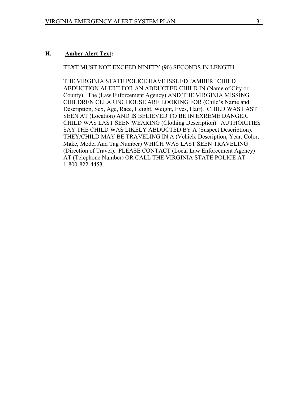#### **H. Amber Alert Text:**

TEXT MUST NOT EXCEED NINETY (90) SECONDS IN LENGTH.

THE VIRGINIA STATE POLICE HAVE ISSUED "AMBER" CHILD ABDUCTION ALERT FOR AN ABDUCTED CHILD IN (Name of City or County). The (Law Enforcement Agency) AND THE VIRGINIA MISSING CHILDREN CLEARINGHOUSE ARE LOOKING FOR (Child's Name and Description, Sex, Age, Race, Height, Weight, Eyes, Hair). CHILD WAS LAST SEEN AT (Location) AND IS BELIEVED TO BE IN EXREME DANGER. CHILD WAS LAST SEEN WEARING (Clothing Description). AUTHORITIES SAY THE CHILD WAS LIKELY ABDUCTED BY A (Suspect Description). THEY/CHILD MAY BE TRAVELING IN A (Vehicle Description, Year, Color, Make, Model And Tag Number) WHICH WAS LAST SEEN TRAVELING (Direction of Travel). PLEASE CONTACT (Local Law Enforcement Agency) AT (Telephone Number) OR CALL THE VIRGINIA STATE POLICE AT 1-800-822-4453.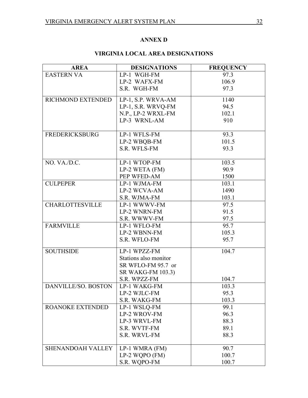## **ANNEX D**

## **VIRGINIA LOCAL AREA DESIGNATIONS**

| <b>AREA</b>              | <b>DESIGNATIONS</b>      | <b>FREQUENCY</b> |
|--------------------------|--------------------------|------------------|
| <b>EASTERN VA</b>        | LP-1 WGH-FM              | 97.3             |
|                          | LP-2 WAFX-FM             | 106.9            |
|                          | S.R. WGH-FM              | 97.3             |
| RICHMOND EXTENDED        | LP-1, S.P. WRVA-AM       | 1140             |
|                          | LP-1, S.R. WRVQ-FM       | 94.5             |
|                          | N.P., LP-2 WRXL-FM       | 102.1            |
|                          | LP-3 WRNL-AM             | 910              |
| <b>FREDERICKSBURG</b>    | LP-1 WFLS-FM             | 93.3             |
|                          | LP-2 WBQB-FM             | 101.5            |
|                          | S.R. WFLS-FM             | 93.3             |
| NO. VA./D.C.             | LP-1 WTOP-FM             | 103.5            |
|                          | LP-2 WETA (FM)           | 90.9             |
|                          | PEP WFED-AM              | 1500             |
| <b>CULPEPER</b>          | LP-1 WJMA-FM             | 103.1            |
|                          | LP-2 WCVA-AM             | 1490             |
|                          | S.R. WJMA-FM             | 103.1            |
| <b>CHARLOTTESVILLE</b>   | LP-1 WWWV-FM             | 97.5             |
|                          | LP-2 WNRN-FM             | 91.5             |
|                          | S.R. WWWV-FM             | 97.5             |
| <b>FARMVILLE</b>         | LP-1 WFLO-FM             | 95.7             |
|                          | LP-2 WBNN-FM             | 105.3            |
|                          | S.R. WFLO-FM             | 95.7             |
| <b>SOUTHSIDE</b>         | LP-1 WPZZ-FM             | 104.7            |
|                          | Stations also monitor    |                  |
|                          | SR WFLO-FM 95.7 or       |                  |
|                          | <b>SR WAKG-FM 103.3)</b> |                  |
|                          | S.R. WPZZ-FM             | 104.7            |
| DANVILLE/SO. BOSTON      | LP-1 WAKG-FM             | 103.3            |
|                          | LP-2 WJLC-FM             | 95.3             |
|                          | S.R. WAKG-FM             | 103.3            |
| <b>ROANOKE EXTENDED</b>  | LP-1 WSLQ-FM             | 99.1             |
|                          | LP-2 WROV-FM             | 96.3             |
|                          | LP-3 WRVL-FM             | 88.3             |
|                          | S.R. WVTF-FM             | 89.1             |
|                          | S.R. WRVL-FM             | 88.3             |
| <b>SHENANDOAH VALLEY</b> | LP-1 WMRA (FM)           | 90.7             |
|                          | LP-2 WQPO (FM)           | 100.7            |
|                          | S.R. WQPO-FM             | 100.7            |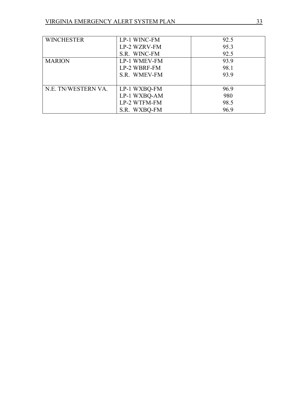| <b>WINCHESTER</b>   | LP-1 WINC-FM | 92.5 |
|---------------------|--------------|------|
|                     | LP-2 WZRV-FM | 95.3 |
|                     | S.R. WINC-FM | 92.5 |
| <b>MARION</b>       | LP-1 WMEV-FM | 93.9 |
|                     | LP-2 WBRF-FM | 98.1 |
|                     | S.R. WMEV-FM | 93.9 |
|                     |              |      |
| N.E. TN/WESTERN VA. | LP-1 WXBQ-FM | 96.9 |
|                     | LP-1 WXBQ-AM | 980  |
|                     | LP-2 WTFM-FM | 98.5 |
|                     | S.R. WXBQ-FM | 96.9 |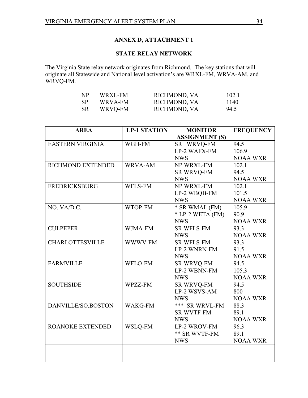## **ANNEX D, ATTACHMENT 1**

## **STATE RELAY NETWORK**

The Virginia State relay network originates from Richmond. The key stations that will originate all Statewide and National level activation's are WRXL-FM, WRVA-AM, and WRVQ-FM.

| NP  | WRXL-FM | RICHMOND, VA | 102.1 |
|-----|---------|--------------|-------|
| -SP | WRVA-FM | RICHMOND, VA | 1140  |
| -SR | WRVQ-FM | RICHMOND, VA | 94.5  |

| <b>AREA</b>             | <b>LP-1 STATION</b> | <b>MONITOR</b>        | <b>FREQUENCY</b> |
|-------------------------|---------------------|-----------------------|------------------|
|                         |                     | <b>ASSIGNMENT (S)</b> |                  |
| <b>EASTERN VIRGINIA</b> | WGH-FM              | SR WRVQ-FM            | 94.5             |
|                         |                     | LP-2 WAFX-FM          | 106.9            |
|                         |                     | <b>NWS</b>            | <b>NOAA WXR</b>  |
| RICHMOND EXTENDED       | WRVA-AM             | NP WRXL-FM            | 102.1            |
|                         |                     | SR WRVQ-FM            | 94.5             |
|                         |                     | <b>NWS</b>            | <b>NOAA WXR</b>  |
| <b>FREDRICKSBURG</b>    | WFLS-FM             | NP WRXL-FM            | 102.1            |
|                         |                     | LP-2 WBQB-FM          | 101.5            |
|                         |                     | <b>NWS</b>            | <b>NOAA WXR</b>  |
| NO. VA/D.C.             | WTOP-FM             | * SR WMAL (FM)        | 105.9            |
|                         |                     | * LP-2 WETA (FM)      | 90.9             |
|                         |                     | <b>NWS</b>            | <b>NOAA WXR</b>  |
| <b>CULPEPER</b>         | WJMA-FM             | <b>SR WFLS-FM</b>     | 93.3             |
|                         |                     | <b>NWS</b>            | <b>NOAA WXR</b>  |
| <b>CHARLOTTESVILLE</b>  | WWWV-FM             | <b>SR WFLS-FM</b>     | 93.3             |
|                         |                     | LP-2 WNRN-FM          | 91.5             |
|                         |                     | <b>NWS</b>            | <b>NOAA WXR</b>  |
| <b>FARMVILLE</b>        | <b>WFLO-FM</b>      | <b>SR WRVQ-FM</b>     | 94.5             |
|                         |                     | LP-2 WBNN-FM          | 105.3            |
|                         |                     | <b>NWS</b>            | <b>NOAA WXR</b>  |
| <b>SOUTHSIDE</b>        | WPZZ-FM             | SR WRVQ-FM            | 94.5             |
|                         |                     | LP-2 WSVS-AM          | 800              |
|                         |                     | <b>NWS</b>            | <b>NOAA WXR</b>  |
| DANVILLE/SO.BOSTON      | WAKG-FM             | *** SR WRVL-FM        | 88.3             |
|                         |                     | <b>SR WVTF-FM</b>     | 89.1             |
|                         |                     | <b>NWS</b>            | <b>NOAA WXR</b>  |
| ROANOKE EXTENDED        | WSLQ-FM             | LP-2 WROV-FM          | 96.3             |
|                         |                     | ** SR WVTF-FM         | 89.1             |
|                         |                     | <b>NWS</b>            | <b>NOAA WXR</b>  |
|                         |                     |                       |                  |
|                         |                     |                       |                  |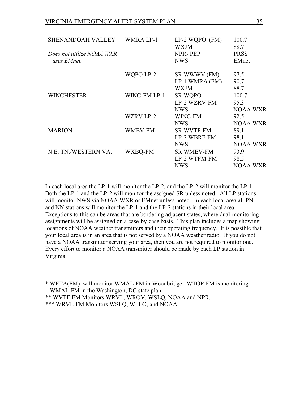| <b>SHENANDOAH VALLEY</b>  | WMRA LP-1        | $LP-2 WQPO$ (FM)  | 100.7           |
|---------------------------|------------------|-------------------|-----------------|
|                           |                  | <b>WXJM</b>       | 88.7            |
| Does not utilize NOAA WXR |                  | NPR-PEP           | <b>PRSS</b>     |
| $-$ uses EMnet.           |                  | <b>NWS</b>        | <b>EMnet</b>    |
|                           |                  |                   |                 |
|                           | WQPO LP-2        | SR WWWV (FM)      | 97.5            |
|                           |                  | LP-1 WMRA (FM)    | 90.7            |
|                           |                  | <b>WXJM</b>       | 88.7            |
| <b>WINCHESTER</b>         | WINC-FM LP-1     | <b>SR WQPO</b>    | 100.7           |
|                           |                  | LP-2 WZRV-FM      | 95.3            |
|                           |                  | <b>NWS</b>        | <b>NOAA WXR</b> |
|                           | <b>WZRV LP-2</b> | WINC-FM           | 92.5            |
|                           |                  | <b>NWS</b>        | <b>NOAA WXR</b> |
| <b>MARION</b>             | <b>WMEV-FM</b>   | <b>SR WVTF-FM</b> | 89.1            |
|                           |                  | LP-2 WBRF-FM      | 98.1            |
|                           |                  | <b>NWS</b>        | <b>NOAA WXR</b> |
| N.E. TN./WESTERN VA.      | WXBQ-FM          | <b>SR WMEV-FM</b> | 93.9            |
|                           |                  | LP-2 WTFM-FM      | 98.5            |
|                           |                  | <b>NWS</b>        | <b>NOAA WXR</b> |

In each local area the LP-1 will monitor the LP-2, and the LP-2 will monitor the LP-1. Both the LP-1 and the LP-2 will monitor the assigned SR unless noted. All LP stations will monitor NWS via NOAA WXR or EMnet unless noted. In each local area all PN and NN stations will monitor the LP-1 and the LP-2 stations in their local area. Exceptions to this can be areas that are bordering adjacent states, where dual-monitoring assignments will be assigned on a case-by-case basis. This plan includes a map showing locations of NOAA weather transmitters and their operating frequency. It is possible that your local area is in an area that is not served by a NOAA weather radio. If you do not have a NOAA transmitter serving your area, then you are not required to monitor one. Every effort to monitor a NOAA transmitter should be made by each LP station in Virginia.

\* WETA(FM) will monitor WMAL-FM in Woodbridge. WTOP-FM is monitoring WMAL-FM in the Washington, DC state plan.

\*\* WVTF-FM Monitors WRVL, WROV, WSLQ, NOAA and NPR.

\*\*\* WRVL-FM Monitors WSLQ, WFLO, and NOAA.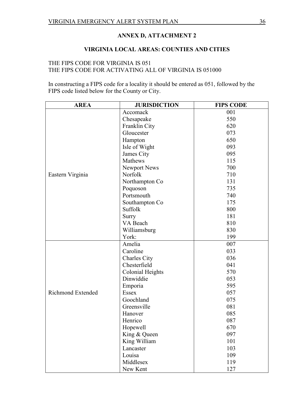## **ANNEX D, ATTACHMENT 2**

## **VIRGINIA LOCAL AREAS: COUNTIES AND CITIES**

## THE FIPS CODE FOR VIRGINIA IS 051 THE FIPS CODE FOR ACTIVATING ALL OF VIRGINIA IS 051000

In constructing a FIPS code for a locality it should be entered as 051, followed by the FIPS code listed below for the County or City.

| <b>AREA</b>              | <b>JURISDICTION</b>     | <b>FIPS CODE</b> |
|--------------------------|-------------------------|------------------|
|                          | Accomack                | 001              |
|                          | Chesapeake              | 550              |
|                          | Franklin City           | 620              |
|                          | Gloucester              | 073              |
|                          | Hampton                 | 650              |
|                          | Isle of Wight           | 093              |
|                          | James City              | 095              |
|                          | Mathews                 | 115              |
|                          | Newport News            | 700              |
| Eastern Virginia         | Norfolk                 | 710              |
|                          | Northampton Co          | 131              |
|                          | Poquoson                | 735              |
|                          | Portsmouth              | 740              |
|                          | Southampton Co          | 175              |
|                          | Suffolk                 | 800              |
|                          | Surry                   | 181              |
|                          | VA Beach                | 810              |
|                          | Williamsburg            | 830              |
|                          | York:                   | 199              |
|                          | Amelia                  | 007              |
|                          | Caroline                | 033              |
|                          | Charles City            | 036              |
|                          | Chesterfield            | 041              |
|                          | <b>Colonial Heights</b> | 570              |
|                          | Dinwiddie               | 053              |
|                          | Emporia                 | 595              |
| <b>Richmond Extended</b> | <b>Essex</b>            | 057              |
|                          | Goochland               | 075              |
|                          | Greensville             | 081              |
|                          | Hanover                 | 085              |
|                          | Henrico                 | 087              |
|                          | Hopewell                | 670              |
|                          | King & Queen            | 097              |
|                          | King William            | 101              |
|                          | Lancaster               | 103              |
|                          | Louisa                  | 109              |
|                          | Middlesex               | 119              |
|                          | New Kent                | 127              |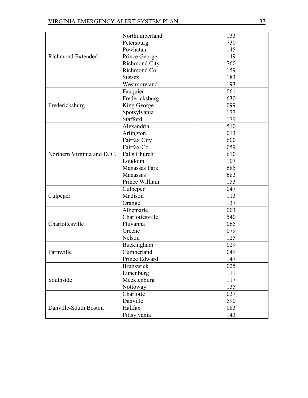|                             | Northumberland       | 133 |
|-----------------------------|----------------------|-----|
|                             | Petersburg           | 730 |
|                             | Powhatan             | 145 |
| <b>Richmond Extended</b>    | Prince George        | 149 |
|                             | <b>Richmond City</b> | 760 |
|                             | Richmond Co.         | 159 |
|                             | <b>Sussex</b>        | 183 |
|                             | Westmoreland         | 193 |
|                             | Fauquier             | 061 |
|                             | Fredericksburg       | 630 |
| Fredericksburg              | King George          | 099 |
|                             | Spotsylvania         | 177 |
|                             | Stafford             | 179 |
|                             | Alexandria           | 510 |
|                             | Arlington            | 013 |
|                             | Fairfax City         | 600 |
|                             | Fairfax Co.          | 059 |
| Northern Virginia and D. C. | Falls Church         | 610 |
|                             | Loudoun              | 107 |
|                             | Manassas Park        | 685 |
|                             | Manassas             | 683 |
|                             | Prince William       | 153 |
|                             |                      |     |
|                             | Culpeper             | 047 |
| Culpeper                    | Madison              | 113 |
|                             | Orange               | 137 |
|                             | Albemarle            | 003 |
|                             | Charlottesville      | 540 |
| Charlottesville             | Fluvanna             | 065 |
|                             | Greene               | 079 |
|                             | Nelson               | 125 |
|                             | Buckingham           | 029 |
| Farmville                   | Cumberland           | 049 |
|                             | Prince Edward        | 147 |
|                             | <b>Brunswick</b>     | 025 |
|                             | Lunenburg            | 111 |
| Southside                   | Mecklenburg          | 117 |
|                             | Nottoway             | 135 |
|                             | Charlotte            | 037 |
|                             | Danville             | 590 |
| Danville-South Boston       | Halifax              | 083 |
|                             | Pittsylvania         | 143 |
|                             |                      |     |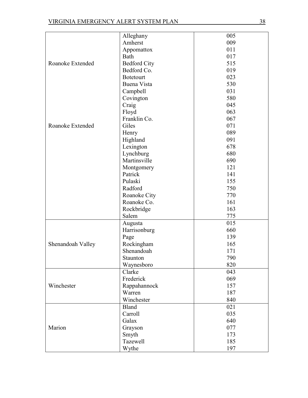|                   | Alleghany             | 005 |
|-------------------|-----------------------|-----|
|                   | Amherst               | 009 |
|                   | Appomattox            | 011 |
|                   | Bath                  | 017 |
| Roanoke Extended  | <b>Bedford City</b>   | 515 |
|                   | Bedford Co.           | 019 |
|                   | <b>Botetourt</b>      | 023 |
|                   | Buena Vista           | 530 |
|                   | Campbell              | 031 |
|                   | Covington             | 580 |
|                   | Craig                 | 045 |
|                   | Floyd                 | 063 |
|                   | Franklin Co.          | 067 |
| Roanoke Extended  | Giles                 | 071 |
|                   | Henry                 | 089 |
|                   | Highland              | 091 |
|                   | Lexington             | 678 |
|                   | Lynchburg             | 680 |
|                   | Martinsville          | 690 |
|                   |                       | 121 |
|                   | Montgomery<br>Patrick | 141 |
|                   | Pulaski               |     |
|                   |                       | 155 |
|                   | Radford               | 750 |
|                   | Roanoke City          | 770 |
|                   | Roanoke Co.           | 161 |
|                   | Rockbridge            | 163 |
|                   | Salem                 | 775 |
|                   | Augusta               | 015 |
|                   | Harrisonburg          | 660 |
|                   | Page                  | 139 |
| Shenandoah Valley | Rockingham            | 165 |
|                   | Shenandoah            | 171 |
|                   | Staunton              | 790 |
|                   | Waynesboro            | 820 |
|                   | Clarke                | 043 |
|                   | Frederick             | 069 |
| Winchester        | Rappahannock          | 157 |
|                   | Warren                | 187 |
|                   | Winchester            | 840 |
|                   | <b>Bland</b>          | 021 |
|                   | Carroll               | 035 |
|                   | Galax                 | 640 |
| Marion            | Grayson               | 077 |
|                   | Smyth                 | 173 |
|                   | Tazewell              | 185 |
|                   | Wythe                 | 197 |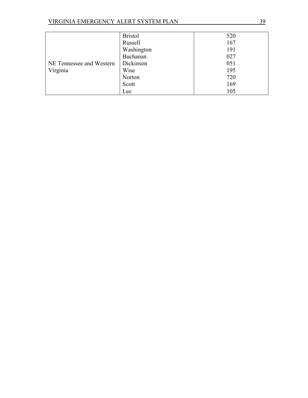|                                      | <b>Bristol</b> | 520 |
|--------------------------------------|----------------|-----|
|                                      | Russell        | 167 |
|                                      | Washington     | 191 |
| NE Tennessee and Western<br>Virginia | Buchanan       | 027 |
|                                      | Dickinson      | 051 |
|                                      | Wise           | 195 |
|                                      | Norton         | 720 |
|                                      | Scott          | 169 |
|                                      | Lee            | 105 |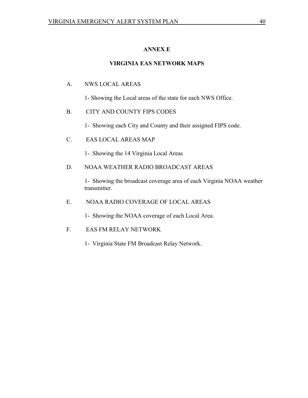## **ANNEX E**

## **VIRGINIA EAS NETWORK MAPS**

## A. NWS LOCAL AREAS

1- Showing the Local areas of the state for each NWS Office.

## B. CITY AND COUNTY FIPS CODES

1- Showing each City and County and their assigned FIPS code.

## C. EAS LOCAL AREAS MAP

1- Showing the 14 Virginia Local Areas

## D. NOAA WEATHER RADIO BROADCAST AREAS

1- Showing the broadcast coverage area of each Virginia NOAA weather transmitter.

## E. NOAA RADIO COVERAGE OF LOCAL AREAS

1- Showing the NOAA coverage of each Local Area.

## F. EAS FM RELAY NETWORK

1- Virginia State FM Broadcast Relay Network.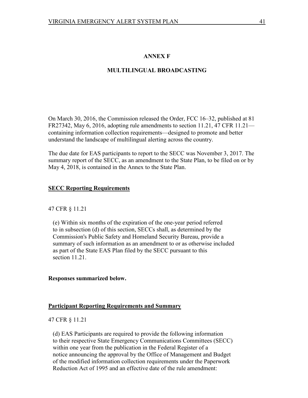## **ANNEX F**

## **MULTILINGUAL BROADCASTING**

On March 30, 2016, the Commission released the Order, FCC 16–32, published at 81 FR27342, May 6, 2016, adopting rule amendments to section 11.21, 47 CFR 11.21 containing information collection requirements—designed to promote and better understand the landscape of multilingual alerting across the country.

The due date for EAS participants to report to the SECC was November 3, 2017. The summary report of the SECC, as an amendment to the State Plan, to be filed on or by May 4, 2018, is contained in the Annex to the State Plan.

#### **SECC Reporting Requirements**

#### 47 CFR § 11.21

 (e) Within six months of the expiration of the one-year period referred to in subsection (d) of this section, SECCs shall, as determined by the Commission's Public Safety and Homeland Security Bureau, provide a summary of such information as an amendment to or as otherwise included as part of the State EAS Plan filed by the SECC pursuant to this section 11.21.

#### **Responses summarized below.**

#### **Participant Reporting Requirements and Summary**

#### 47 CFR § 11.21

 (d) EAS Participants are required to provide the following information to their respective State Emergency Communications Committees (SECC) within one year from the publication in the Federal Register of a notice announcing the approval by the Office of Management and Budget of the modified information collection requirements under the Paperwork Reduction Act of 1995 and an effective date of the rule amendment: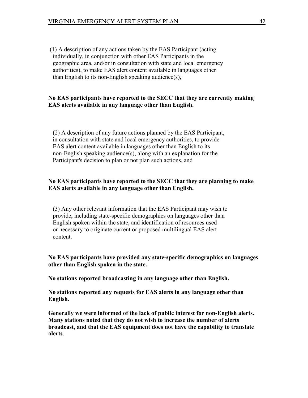(1) A description of any actions taken by the EAS Participant (acting individually, in conjunction with other EAS Participants in the geographic area, and/or in consultation with state and local emergency authorities), to make EAS alert content available in languages other than English to its non-English speaking audience(s),

## **No EAS participants have reported to the SECC that they are currently making EAS alerts available in any language other than English.**

 (2) A description of any future actions planned by the EAS Participant, in consultation with state and local emergency authorities, to provide EAS alert content available in languages other than English to its non-English speaking audience(s), along with an explanation for the Participant's decision to plan or not plan such actions, and

#### **No EAS participants have reported to the SECC that they are planning to make EAS alerts available in any language other than English.**

 (3) Any other relevant information that the EAS Participant may wish to provide, including state-specific demographics on languages other than English spoken within the state, and identification of resources used or necessary to originate current or proposed multilingual EAS alert content.

**No EAS participants have provided any state-specific demographics on languages other than English spoken in the state.**

**No stations reported broadcasting in any language other than English.**

**No stations reported any requests for EAS alerts in any language other than English.**

**Generally we were informed of the lack of public interest for non-English alerts. Many stations noted that they do not wish to increase the number of alerts broadcast, and that the EAS equipment does not have the capability to translate alerts**.